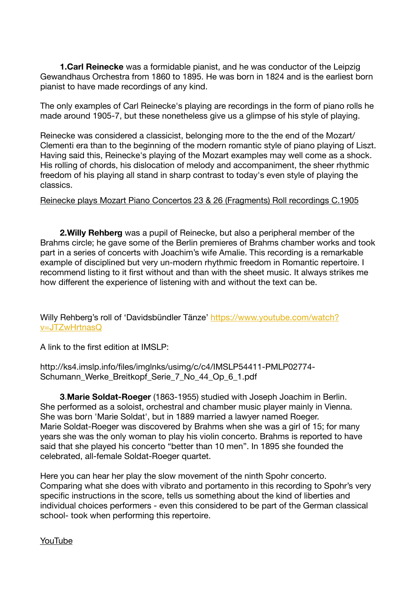**1.Carl Reinecke** was a formidable pianist, and he was conductor of the Leipzig Gewandhaus Orchestra from 1860 to 1895. He was born in 1824 and is the earliest born pianist to have made recordings of any kind.

The only examples of Carl Reinecke's playing are recordings in the form of piano rolls he made around 1905-7, but these nonetheless give us a glimpse of his style of playing.

Reinecke was considered a classicist, belonging more to the the end of the Mozart/ Clementi era than to the beginning of the modern romantic style of piano playing of Liszt. Having said this, Reinecke's playing of the Mozart examples may well come as a shock. His rolling of chords, his dislocation of melody and accompaniment, the sheer rhythmic freedom of his playing all stand in sharp contrast to today's even style of playing the classics.

[Reinecke plays Mozart Piano Concertos 23 & 26 \(Fragments\) Roll recordings C.1905](https://youtu.be/C_ELXJNMIE8)

**2.Willy Rehberg** was a pupil of Reinecke, but also a peripheral member of the Brahms circle; he gave some of the Berlin premieres of Brahms chamber works and took part in a series of concerts with Joachim's wife Amalie. This recording is a remarkable example of disciplined but very un-modern rhythmic freedom in Romantic repertoire. I recommend listing to it first without and than with the sheet music. It always strikes me how different the experience of listening with and without the text can be.

Willy Rehberg's roll of 'Davidsbündler Tänze' [https://www.youtube.com/watch?](https://www.youtube.com/watch?v=JTZwHrtnasQ) [v=JTZwHrtnasQ](https://www.youtube.com/watch?v=JTZwHrtnasQ)

A link to the first edition at IMSLP:

http://ks4.imslp.info/files/imglnks/usimg/c/c4/IMSLP54411-PMLP02774- Schumann Werke Breitkopf Serie 7 No 44 Op 6 1.pdf

**3**.**Marie Soldat-Roeger** (1863-1955) studied with Joseph Joachim in Berlin. She performed as a soloist, orchestral and chamber music player mainly in Vienna. She was born 'Marie Soldat', but in 1889 married a lawyer named Roeger. Marie Soldat-Roeger was discovered by Brahms when she was a girl of 15; for many years she was the only woman to play his violin concerto. Brahms is reported to have said that she played his concerto "better than 10 men". In 1895 she founded the celebrated, all-female Soldat-Roeger quartet.

Here you can hear her play the slow movement of the ninth Spohr concerto. Comparing what she does with vibrato and portamento in this recording to Spohr's very specific instructions in the score, tells us something about the kind of liberties and individual choices performers - even this considered to be part of the German classical school- took when performing this repertoire.

[YouTube](https://www.youtube.com/watch?v=_dFHKL5E0TY&feature=share)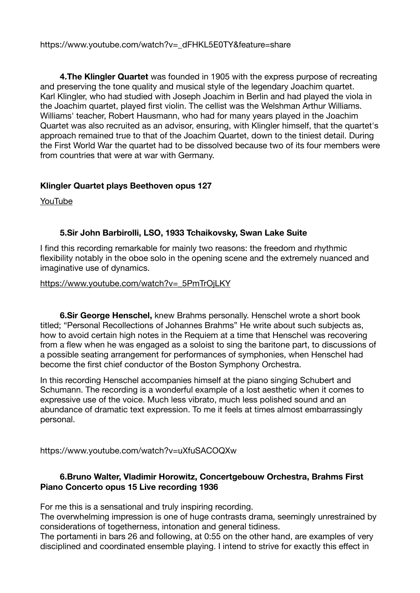https://www.youtube.com/watch?v=\_dFHKL5E0TY&feature=share

**4.The Klingler Quartet** was founded in 1905 with the express purpose of recreating and preserving the tone quality and musical style of the legendary Joachim quartet. Karl Klingler, who had studied with Joseph Joachim in Berlin and had played the viola in the Joachim quartet, played first violin. The cellist was the Welshman Arthur Williams. Williams' teacher, Robert Hausmann, who had for many years played in the Joachim Quartet was also recruited as an advisor, ensuring, with Klingler himself, that the quartet's approach remained true to that of the Joachim Quartet, down to the tiniest detail. During the First World War the quartet had to be dissolved because two of its four members were from countries that were at war with Germany.

## **Klingler Quartet plays Beethoven opus 127**

[YouTube](https://www.youtube.com/watch?v=6XhzEtcMWSA)

## **5.Sir John Barbirolli, LSO, 1933 Tchaikovsky, Swan Lake Suite**

I find this recording remarkable for mainly two reasons: the freedom and rhythmic flexibility notably in the oboe solo in the opening scene and the extremely nuanced and imaginative use of dynamics.

## [https://www.youtube.com/watch?v=\\_5PmTrOjLKY](https://www.youtube.com/watch?v=_5PmTrOjLKY)

**6.Sir George Henschel,** knew Brahms personally. Henschel wrote a short book titled; "Personal Recollections of Johannes Brahms" He write about such subjects as, how to avoid certain high notes in the Requiem at a time that Henschel was recovering from a flew when he was engaged as a soloist to sing the baritone part, to discussions of a possible seating arrangement for performances of symphonies, when Henschel had become the first chief conductor of the Boston Symphony Orchestra.

In this recording Henschel accompanies himself at the piano singing Schubert and Schumann. The recording is a wonderful example of a lost aesthetic when it comes to expressive use of the voice. Much less vibrato, much less polished sound and an abundance of dramatic text expression. To me it feels at times almost embarrassingly personal.

https://www.youtube.com/watch?v=uXfuSACOQXw

## **6.Bruno Walter, Vladimir Horowitz, Concertgebouw Orchestra, Brahms First Piano Concerto opus 15 Live recording 1936**

For me this is a sensational and truly inspiring recording.

The overwhelming impression is one of huge contrasts drama, seemingly unrestrained by considerations of togetherness, intonation and general tidiness.

The portamenti in bars 26 and following, at 0:55 on the other hand, are examples of very disciplined and coordinated ensemble playing. I intend to strive for exactly this effect in